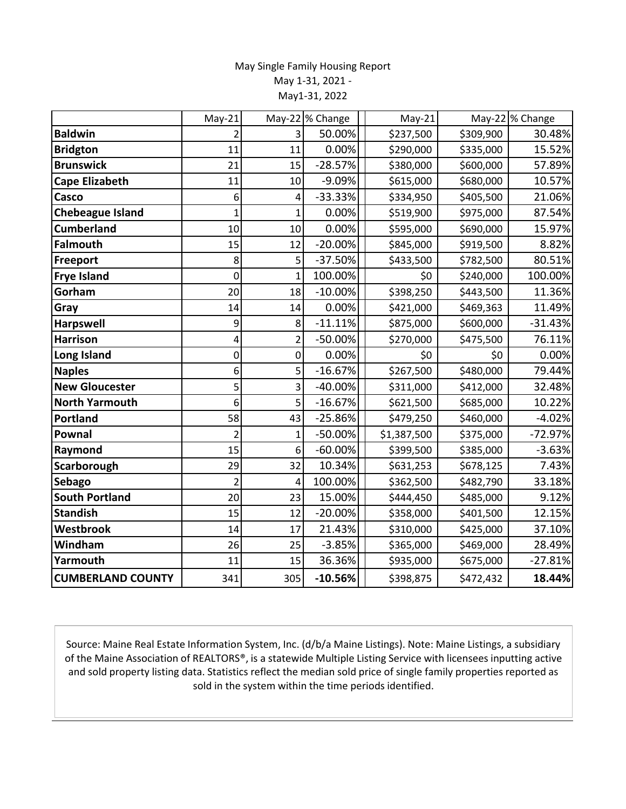## May Single Family Housing Report May 1-31, 2021 - May1-31, 2022

|                          | $May-21$       |                | May-22 % Change | $May-21$    |           | May-22 % Change |
|--------------------------|----------------|----------------|-----------------|-------------|-----------|-----------------|
| <b>Baldwin</b>           |                | 3              | 50.00%          | \$237,500   | \$309,900 | 30.48%          |
| <b>Bridgton</b>          | 11             | 11             | 0.00%           | \$290,000   | \$335,000 | 15.52%          |
| <b>Brunswick</b>         | 21             | 15             | $-28.57%$       | \$380,000   | \$600,000 | 57.89%          |
| <b>Cape Elizabeth</b>    | 11             | 10             | -9.09%          | \$615,000   | \$680,000 | 10.57%          |
| Casco                    | 6              | 4              | $-33.33%$       | \$334,950   | \$405,500 | 21.06%          |
| <b>Chebeague Island</b>  | $\mathbf{1}$   | $\overline{1}$ | 0.00%           | \$519,900   | \$975,000 | 87.54%          |
| <b>Cumberland</b>        | 10             | 10             | 0.00%           | \$595,000   | \$690,000 | 15.97%          |
| <b>Falmouth</b>          | 15             | 12             | $-20.00%$       | \$845,000   | \$919,500 | 8.82%           |
| Freeport                 | 8              | 5              | $-37.50%$       | \$433,500   | \$782,500 | 80.51%          |
| <b>Frye Island</b>       | 0              | $\overline{1}$ | 100.00%         | \$0         | \$240,000 | 100.00%         |
| Gorham                   | 20             | 18             | $-10.00%$       | \$398,250   | \$443,500 | 11.36%          |
| Gray                     | 14             | 14             | 0.00%           | \$421,000   | \$469,363 | 11.49%          |
| <b>Harpswell</b>         | 9              | 8              | $-11.11%$       | \$875,000   | \$600,000 | $-31.43%$       |
| <b>Harrison</b>          | 4              | $\overline{2}$ | $-50.00%$       | \$270,000   | \$475,500 | 76.11%          |
| Long Island              | 0              | 0              | 0.00%           | \$0         | \$0       | 0.00%           |
| <b>Naples</b>            | 6              | 5              | $-16.67%$       | \$267,500   | \$480,000 | 79.44%          |
| <b>New Gloucester</b>    | 5              | 3              | -40.00%         | \$311,000   | \$412,000 | 32.48%          |
| <b>North Yarmouth</b>    | 6              | 5              | $-16.67%$       | \$621,500   | \$685,000 | 10.22%          |
| <b>Portland</b>          | 58             | 43             | $-25.86%$       | \$479,250   | \$460,000 | $-4.02%$        |
| Pownal                   | $\overline{2}$ | 1              | $-50.00%$       | \$1,387,500 | \$375,000 | $-72.97%$       |
| Raymond                  | 15             | 6              | $-60.00%$       | \$399,500   | \$385,000 | $-3.63%$        |
| Scarborough              | 29             | 32             | 10.34%          | \$631,253   | \$678,125 | 7.43%           |
| <b>Sebago</b>            | $\overline{2}$ | 4              | 100.00%         | \$362,500   | \$482,790 | 33.18%          |
| <b>South Portland</b>    | 20             | 23             | 15.00%          | \$444,450   | \$485,000 | 9.12%           |
| <b>Standish</b>          | 15             | 12             | $-20.00%$       | \$358,000   | \$401,500 | 12.15%          |
| Westbrook                | 14             | 17             | 21.43%          | \$310,000   | \$425,000 | 37.10%          |
| Windham                  | 26             | 25             | $-3.85%$        | \$365,000   | \$469,000 | 28.49%          |
| Yarmouth                 | 11             | 15             | 36.36%          | \$935,000   | \$675,000 | $-27.81%$       |
| <b>CUMBERLAND COUNTY</b> | 341            | 305            | $-10.56%$       | \$398,875   | \$472,432 | 18.44%          |

Source: Maine Real Estate Information System, Inc. (d/b/a Maine Listings). Note: Maine Listings, a subsidiary of the Maine Association of REALTORS®, is a statewide Multiple Listing Service with licensees inputting active and sold property listing data. Statistics reflect the median sold price of single family properties reported as sold in the system within the time periods identified.